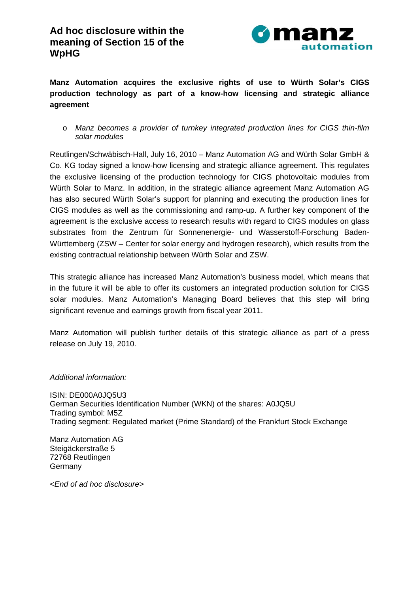

**Manz Automation acquires the exclusive rights of use to Würth Solar's CIGS production technology as part of a know-how licensing and strategic alliance agreement** 

o *Manz becomes a provider of turnkey integrated production lines for CIGS thin-film solar modules*

Reutlingen/Schwäbisch-Hall, July 16, 2010 – Manz Automation AG and Würth Solar GmbH & Co. KG today signed a know-how licensing and strategic alliance agreement. This regulates the exclusive licensing of the production technology for CIGS photovoltaic modules from Würth Solar to Manz. In addition, in the strategic alliance agreement Manz Automation AG has also secured Würth Solar's support for planning and executing the production lines for CIGS modules as well as the commissioning and ramp-up. A further key component of the agreement is the exclusive access to research results with regard to CIGS modules on glass substrates from the Zentrum für Sonnenenergie- und Wasserstoff-Forschung Baden-Württemberg (ZSW – Center for solar energy and hydrogen research), which results from the existing contractual relationship between Würth Solar and ZSW.

This strategic alliance has increased Manz Automation's business model, which means that in the future it will be able to offer its customers an integrated production solution for CIGS solar modules. Manz Automation's Managing Board believes that this step will bring significant revenue and earnings growth from fiscal year 2011.

Manz Automation will publish further details of this strategic alliance as part of a press release on July 19, 2010.

*Additional information:* 

ISIN: DE000A0JQ5U3 German Securities Identification Number (WKN) of the shares: A0JQ5U Trading symbol: M5Z Trading segment: Regulated market (Prime Standard) of the Frankfurt Stock Exchange

Manz Automation AG Steigäckerstraße 5 72768 Reutlingen Germany

*<End of ad hoc disclosure>*